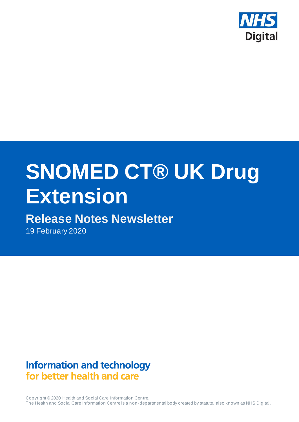

# **SNOMED CT® UK Drug Extension**

# **Release Notes Newsletter**

19 February 2020

**Information and technology** for better health and care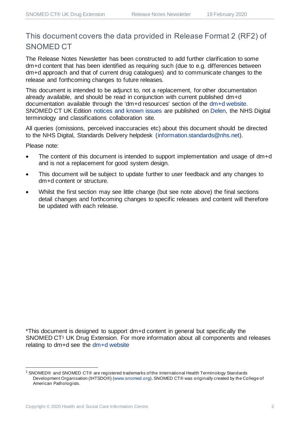### This document covers the data provided in Release Format 2 (RF2) of SNOMED CT

The Release Notes Newsletter has been constructed to add further clarification to some dm+d content that has been identified as requiring such (due to e.g. differences between dm+d approach and that of current drug catalogues) and to communicate changes to the release and forthcoming changes to future releases.

This document is intended to be adjunct to, not a replacement, for other documentation already available, and should be read in conjunction with current published dm+d documentation available through the 'dm+d resources' section of the [dm+d website.](https://www.nhsbsa.nhs.uk/pharmacies-gp-practices-and-appliance-contractors/dictionary-medicines-and-devices-dmd) SNOMED CT UK Edition [notices and known issues](https://hscic.kahootz.com/connect.ti/t_c_home/view?objectId=14224752) are published on [Delen,](https://hscic.kahootz.com/connect.ti/t_c_home) the NHS Digital terminology and classifications collaboration site.

All queries (omissions, perceived inaccuracies etc) about this document should be directed to the NHS Digital, Standards Delivery helpdesk [\(information.standards@nhs.net\).](mailto:information.standards@nhs.net)

Please note:

- The content of this document is intended to support implementation and usage of dm+d and is not a replacement for good system design.
- This document will be subject to update further to user feedback and any changes to dm+d content or structure.
- Whilst the first section may see little change (but see note above) the final sections detail changes and forthcoming changes to specific releases and content will therefore be updated with each release.

\*This document is designed to support dm+d content in general but specifically the SNOMED CT<sup>1</sup> UK Drug Extension. For more information about all components and releases relating to dm+d see the [dm+d website](https://www.nhsbsa.nhs.uk/pharmacies-gp-practices-and-appliance-contractors/dictionary-medicines-and-devices-dmd)

<sup>1</sup> SNOMED® and SNOMED CT® are registered trademarks of the International Health Terminology Standards Development Organisation (IHTSDO®) [\(www.snomed.org](http://www.snomed.org/)). SNOMED CT® was originally created by the College of American Pathologists.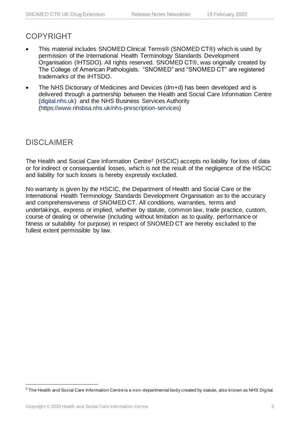### COPYRIGHT

- This material includes SNOMED Clinical Terms® (SNOMED CT®) which is used by permission of the International Health Terminology Standards Development Organisation (IHTSDO). All rights reserved. SNOMED CT®, was originally created by The College of American Pathologists. "SNOMED" and "SNOMED CT" are registered trademarks of the IHTSDO.
- The NHS Dictionary of Medicines and Devices (dm+d) has been developed and is delivered through a partnership between the Health and Social Care Information Centre [\(digital.nhs.uk\)](https://digital.nhs.uk/) and the NHS Business Services Authority [\(https://www.nhsbsa.nhs.uk/nhs-prescription-services\)](https://www.nhsbsa.nhs.uk/nhs-prescription-services)

### DISCLAIMER

The Health and Social Care Information Centre<sup>2</sup> (HSCIC) accepts no liability for loss of data or for indirect or consequential losses, which is not the result of the negligence of the HSCIC and liability for such losses is hereby expressly excluded.

No warranty is given by the HSCIC, the Department of Health and Social Care or the International Health Terminology Standards Development Organisation as to the accuracy and comprehensiveness of SNOMED CT. All conditions, warranties, terms and undertakings, express or implied, whether by statute, common law, trade practice, custom, course of dealing or otherwise (including without limitation as to quality, performance or fitness or suitability for purpose) in respect of SNOMED CT are hereby excluded to the fullest extent permissible by law.

<sup>&</sup>lt;sup>2</sup> The Health and Social Care Information Centre is a non-departmental body created by statute, also known as NHS Digital.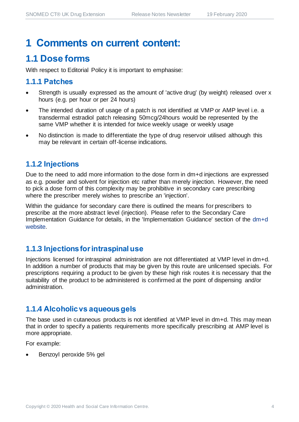# **1 Comments on current content:**

### **1.1 Dose forms**

With respect to Editorial Policy it is important to emphasise:

### **1.1.1 Patches**

- Strength is usually expressed as the amount of 'active drug' (by weight) released over x hours (e.g. per hour or per 24 hours)
- The intended duration of usage of a patch is not identified at VMP or AMP level i.e. a transdermal estradiol patch releasing 50mcg/24hours would be represented by the same VMP whether it is intended for twice weekly usage or weekly usage
- No distinction is made to differentiate the type of drug reservoir utilised although this may be relevant in certain off-license indications.

### **1.1.2 Injections**

Due to the need to add more information to the dose form in dm+d injections are expressed as e.g. powder and solvent for injection etc rather than merely injection. However, the need to pick a dose form of this complexity may be prohibitive in secondary care prescribing where the prescriber merely wishes to prescribe an 'injection'.

Within the guidance for secondary care there is outlined the means for prescribers to prescribe at the more abstract level (injection). Please refer to the Secondary Care Implementation Guidance for details, in the 'Implementation Guidance' section of the [dm+d](https://www.nhsbsa.nhs.uk/pharmacies-gp-practices-and-appliance-contractors/dictionary-medicines-and-devices-dmd)  [website.](https://www.nhsbsa.nhs.uk/pharmacies-gp-practices-and-appliance-contractors/dictionary-medicines-and-devices-dmd) 

### **1.1.3 Injections for intraspinal use**

Injections licensed for intraspinal administration are not differentiated at VMP level in dm+d. In addition a number of products that may be given by this route are unlicensed specials. For prescriptions requiring a product to be given by these high risk routes it is necessary that the suitability of the product to be administered is confirmed at the point of dispensing and/or administration.

### **1.1.4 Alcoholic vs aqueous gels**

The base used in cutaneous products is not identified at VMP level in dm+d. This may mean that in order to specify a patients requirements more specifically prescribing at AMP level is more appropriate.

For example:

• Benzoyl peroxide 5% gel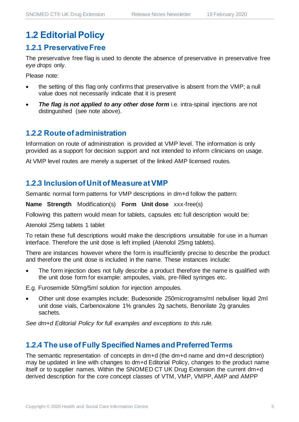### **1.2 Editorial Policy**

### **1.2.1 Preservative Free**

The preservative free flag is used to denote the absence of preservative in preservative free *eye drops* only.

Please note:

- the setting of this flag only confirms that preservative is absent from the VMP; a null value does not necessarily indicate that it is present
- *The flag is not applied to any other dose form* i.e. intra-spinal injections are not distinguished (see note above).

### **1.2.2 Route of administration**

Information on route of administration is provided at VMP level. The information is only provided as a support for decision support and not intended to inform clinicians on usage.

At VMP level routes are merely a superset of the linked AMP licensed routes.

### **1.2.3 Inclusion of Unit of Measure at VMP**

Semantic normal form patterns for VMP descriptions in dm+d follow the pattern:

**Name Strength** Modification(s) **Form Unit dose** xxx-free(s)

Following this pattern would mean for tablets, capsules etc full description would be:

Atenolol 25mg tablets 1 tablet

To retain these full descriptions would make the descriptions unsuitable for use in a human interface. Therefore the unit dose is left implied (Atenolol 25mg tablets).

There are instances however where the form is insufficiently precise to describe the product and therefore the unit dose is included in the name. These instances include:

• The form injection does not fully describe a product therefore the name is qualified with the unit dose form for example: ampoules, vials, pre-filled syringes etc.

E.g. Furosemide 50mg/5ml solution for injection ampoules.

• Other unit dose examples include: Budesonide 250micrograms/ml nebuliser liquid 2ml unit dose vials, Carbenoxalone 1% granules 2g sachets, Benorilate 2g granules sachets.

*See dm+d Editorial Policy for full examples and exceptions to this rule.*

### **1.2.4 The use of Fully Specified Names and Preferred Terms**

The semantic representation of concepts in dm+d (the dm+d name and dm+d description) may be updated in line with changes to dm+d Editorial Policy, changes to the product name itself or to supplier names. Within the SNOMED CT UK Drug Extension the current dm+d derived description for the core concept classes of VTM, VMP, VMPP, AMP and AMPP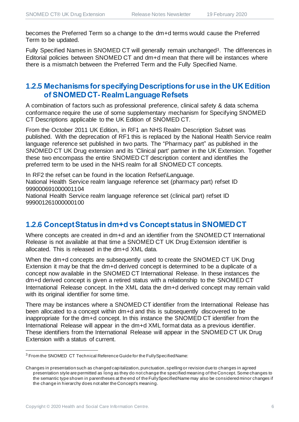becomes the Preferred Term so a change to the dm+d terms would cause the Preferred Term to be updated.

Fully Specified Names in SNOMED CT will generally remain unchanged<sup>3</sup>. The differences in Editorial policies between SNOMED CT and dm+d mean that there will be instances where there is a mismatch between the Preferred Term and the Fully Specified Name.

### **1.2.5 Mechanisms for specifying Descriptions for use in the UK Edition of SNOMED CT-Realm Language Refsets**

A combination of factors such as professional preference, clinical safety & data schema conformance require the use of some supplementary mechanism for Specifying SNOMED CT Descriptions applicable to the UK Edition of SNOMED CT.

From the October 2011 UK Edition, in RF1 an NHS Realm Description Subset was published. With the deprecation of RF1 this is replaced by the National Health Service realm language reference set published in two parts. The "Pharmacy part" as published in the SNOMED CT UK Drug extension and its 'Clinical part' partner in the UK Extension. Together these two encompass the entire SNOMED CT description content and identifies the preferred term to be used in the NHS realm for all SNOMED CT concepts.

In RF2 the refset can be found in the location Refset\Language. National Health Service realm language reference set (pharmacy part) refset ID 999000691000001104 National Health Service realm language reference set (clinical part) refset ID 999001261000000100

### **1.2.6 Concept Status in dm+d vs Concept status in SNOMED CT**

Where concepts are created in dm+d and an identifier from the SNOMED CT International Release is not available at that time a SNOMED CT UK Drug Extension identifier is allocated. This is released in the dm+d XML data.

When the dm+d concepts are subsequently used to create the SNOMED CT UK Drug Extension it may be that the dm+d derived concept is determined to be a duplicate of a concept now available in the SNOMED CT International Release. In these instances the dm+d derived concept is given a retired status with a relationship to the SNOMED CT International Release concept. In the XML data the dm+d derived concept may remain valid with its original identifier for some time.

There may be instances where a SNOMED CT identifier from the International Release has been allocated to a concept within dm+d and this is subsequently discovered to be inappropriate for the dm+d concept. In this instance the SNOMED CT identifier from the International Release will appear in the dm+d XML format data as a previous identifier. These identifiers from the International Release will appear in the SNOMED CT UK Drug Extension with a status of current.

<sup>3</sup> From the SNOMED CT Technical Reference Guide for the FullySpecifiedName:

Changes in presentation such as changed capitalization, punctuation, spelling or revision due to changes in agreed presentation style are permitted as long as they do not change the specified meaning of the Concept. Some changes to the semantic type shown in parentheses at the end of the FullySpecifiedName may also be considered minor changes if the change in hierarchy does not alter the Concept's meaning.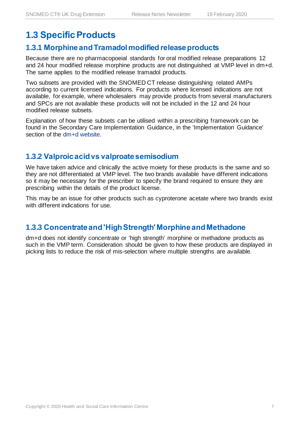### **1.3 Specific Products**

### **1.3.1 Morphine and Tramadol modified release products**

Because there are no pharmacopoeial standards for oral modified release preparations 12 and 24 hour modified release morphine products are not distinguished at VMP level in dm+d. The same applies to the modified release tramadol products.

Two subsets are provided with the SNOMED CT release distinguishing related AMPs according to current licensed indications. For products where licensed indications are not available, for example, where wholesalers may provide products from several manufacturers and SPCs are not available these products will not be included in the 12 and 24 hour modified release subsets.

Explanation of how these subsets can be utilised within a prescribing framework can be found in the Secondary Care Implementation Guidance, in the 'Implementation Guidance' section of the [dm+d website.](https://www.nhsbsa.nhs.uk/pharmacies-gp-practices-and-appliance-contractors/dictionary-medicines-and-devices-dmd)

### **1.3.2 Valproic acid vs valproate semisodium**

We have taken advice and clinically the active moiety for these products is the same and so they are not differentiated at VMP level. The two brands available have different indications so it may be necessary for the prescriber to specify the brand required to ensure they are prescribing within the details of the product license.

This may be an issue for other products such as cyproterone acetate where two brands exist with different indications for use.

### **1.3.3 Concentrate and 'High Strength'Morphine and Methadone**

dm+d does not identify concentrate or 'high strength' morphine or methadone products as such in the VMP term. Consideration should be given to how these products are displayed in picking lists to reduce the risk of mis-selection where multiple strengths are available.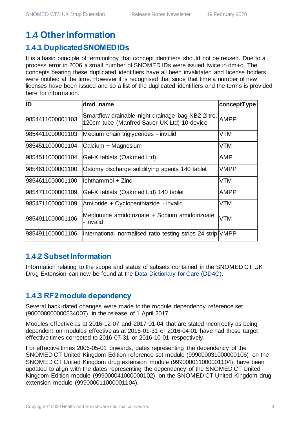### **1.4 Other Information**

### **1.4.1 Duplicated SNOMED IDs**

It is a basic principle of terminology that concept identifiers should not be reused. Due to a process error in 2006 a small number of SNOMED IDs were issued twice in dm+d. The concepts bearing these duplicated identifiers have all been invalidated and license holders were notified at the time. However it is recognised that since that time a number of new licenses have been issued and so a list of the duplicated identifiers and the terms is provided here for information.

| ID               | dmd_name                                                                                               | conceptType |
|------------------|--------------------------------------------------------------------------------------------------------|-------------|
| 9854411000001103 | Smartflow drainable night drainage bag NB2 2litre, AMPP<br>120cm tube (Manfred Sauer UK Ltd) 10 device |             |
| 9854411000001103 | Medium chain triglycerides - invalid                                                                   | VTM         |
| 9854511000001104 | Calcium + Magnesium                                                                                    | VTM         |
| 9854511000001104 | Gel-X tablets (Oakmed Ltd)                                                                             | <b>AMP</b>  |
| 9854611000001100 | Ostomy discharge solidifying agents 140 tablet                                                         | VMPP        |
| 9854611000001100 | Ichthammol + Zinc                                                                                      | VTM         |
| 9854711000001109 | Gel-X tablets (Oakmed Ltd) 140 tablet                                                                  | <b>AMPP</b> |
| 9854711000001109 | Amiloride + Cyclopenthiazide - invalid                                                                 | VTM         |
| 9854911000001106 | Meglumine amidotrizoate + Sodium amidotrizoate<br>invalid                                              | VTM         |
| 9854911000001106 | International normalised ratio testing strips 24 strip VMPP                                            |             |

#### **1.4.2 Subset Information**

Information relating to the scope and status of subsets contained in the SNOMED CT UK Drug Extension can now be found at the [Data Dictionary for Care \(DD4C\).](https://dd4c.digital.nhs.uk/dd4c/)

### **1.4.3 RF2 module dependency**

Several back-dated changes were made to the module dependency reference set (900000000000534007) in the release of 1 April 2017.

Modules effective as at 2016-12-07 and 2017-01-04 that are stated incorrectly as being dependent on modules effective as at 2016-01-31 or 2016-04-01 have had those target effective times corrected to 2016-07-31 or 2016-10-01 respectively.

For effective times 2006-05-01 onwards, dates representing the dependency of the SNOMED CT United Kingdom Edition reference set module (999000031000000106) on the SNOMED CT United Kingdom drug extension module (999000011000001104) have been updated to align with the dates representing the dependency of the SNOMED CT United Kingdom Edition module (999000041000000102) on the SNOMED CT United Kingdom drug extension module (999000011000001104).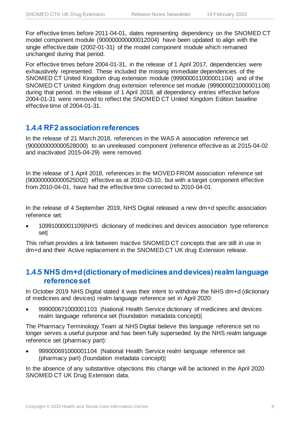For effective times before 2011-04-01, dates representing dependency on the SNOMED CT model component module (900000000000012004) have been updated to align with the single effective date (2002-01-31) of the model component module which remained unchanged during that period.

For effective times before 2004-01-31, in the release of 1 April 2017, dependencies were exhaustively represented. These included the missing immediate dependencies of the SNOMED CT United Kingdom drug extension module (999000011000001104) and of the SNOMED CT United Kingdom drug extension reference set module (999000021000001108) during that period. In the release of 1 April 2018, all dependency entries effective before 2004-01-31 were removed to reflect the SNOMED CT United Kingdom Edition baseline effective time of 2004-01-31.

### **1.4.4 RF2 association references**

In the release of 21 March 2018, references in the WAS A association reference set (900000000000528000) to an unreleased component (reference effective as at 2015-04-02 and inactivated 2015-04-29) were removed.

In the release of 1 April 2018, references in the MOVED FROM association reference set (900000000000525002) effective as at 2010-03-10, but with a target component effective from 2010-04-01, have had the effective time corrected to 2010-04-01.

In the release of 4 September 2019, NHS Digital released a new dm+d specific association reference set:

• 10991000001109|NHS dictionary of medicines and devices association type reference set|

This refset provides a link between Inactive SNOMED CT concepts that are still in use in dm+d and their Active replacement in the SNOMED CT UK drug Extension release.

### **1.4.5 NHS dm+d (dictionary of medicines and devices) realm language reference set**

In October 2019 NHS Digital stated it was their intent to withdraw the NHS dm+d (dictionary of medicines and devices) realm language reference set in April 2020:

• 999000671000001103 |National Health Service dictionary of medicines and devices realm language reference set (foundation metadata concept)|

The Pharmacy Terminology Team at NHS Digital believe this language reference set no longer serves a useful purpose and has been fully superseded by the NHS realm language reference set (pharmacy part):

• 999000691000001104 |National Health Service realm language reference set (pharmacy part) (foundation metadata concept)|

In the absence of any substantive objections this change will be actioned in the April 2020 SNOMED CT UK Drug Extension data.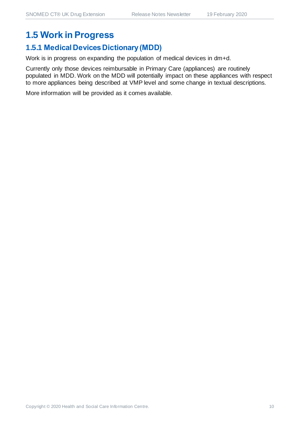## **1.5 Work in Progress**

### **1.5.1 Medical Devices Dictionary (MDD)**

Work is in progress on expanding the population of medical devices in dm+d.

Currently only those devices reimbursable in Primary Care (appliances) are routinely populated in MDD. Work on the MDD will potentially impact on these appliances with respect to more appliances being described at VMP level and some change in textual descriptions.

More information will be provided as it comes available.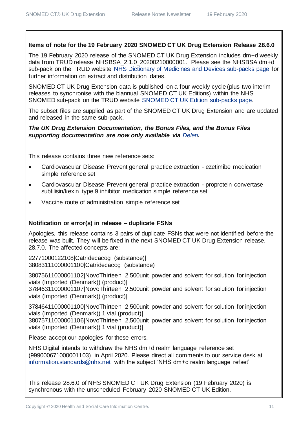#### **Items of note for the 19 February 2020 SNOMED CT UK Drug Extension Release 28.6.0**

The 19 February 2020 release of the SNOMED CT UK Drug Extension includes dm+d weekly data from TRUD release NHSBSA\_2.1.0\_20200210000001. Please see the NHSBSA dm+d sub-pack on the TRUD website [NHS Dictionary of Medicines and Devices sub-packs page](https://isd.digital.nhs.uk/trud3/user/guest/group/0/pack/6) for further information on extract and distribution dates.

SNOMED CT UK Drug Extension data is published on a four weekly cycle (plus two interim releases to synchronise with the biannual SNOMED CT UK Editions) within the NHS SNOMED sub-pack on the TRUD website [SNOMED CT UK Edition sub-packs page.](https://isd.digital.nhs.uk/trud3/user/guest/group/0/pack/26)

The subset files are supplied as part of the SNOMED CT UK Drug Extension and are updated and released in the same sub-pack.

#### *The UK Drug Extension Documentation, the Bonus Files, and the Bonus Files supporting documentation are now only available via [Delen](https://hscic.kahootz.com/connect.ti/t_c_home/view?objectId=14540272).*

This release contains three new reference sets:

- Cardiovascular Disease Prevent general practice extraction ezetimibe medication simple reference set
- Cardiovascular Disease Prevent general practice extraction proprotein convertase subtilisin/kexin type 9 inhibitor medication simple reference set
- Vaccine route of administration simple reference set

#### **Notification or error(s) in release – duplicate FSNs**

Apologies, this release contains 3 pairs of duplicate FSNs that were not identified before the release was built. They will be fixed in the next SNOMED CT UK Drug Extension release, 28.7.0. The affected concepts are:

22771000122108|Catridecacog (substance)| 38083111000001100|Catridecacog (substance)

38075611000001102|NovoThirteen 2,500unit powder and solvent for solution for injection vials (Imported (Denmark)) (product)|

37846311000001107|NovoThirteen 2,500unit powder and solvent for solution for injection vials (Imported (Denmark)) (product)|

37846411000001100|NovoThirteen 2,500unit powder and solvent for solution for injection vials (Imported (Denmark)) 1 vial (product)|

38075711000001106|NovoThirteen 2,500unit powder and solvent for solution for injection vials (Imported (Denmark)) 1 vial (product)|

Please accept our apologies for these errors.

NHS Digital intends to withdraw the NHS dm+d realm language reference set (999000671000001103) in April 2020. Please direct all comments to our service desk at [information.standards@nhs.net](mailto:information.standards@nhs.net?subject=NHS%20dm+d%20realm%20language%20refset) with the subject 'NHS dm+d realm language refset'

This release 28.6.0 of NHS SNOMED CT UK Drug Extension (19 February 2020) is synchronous with the unscheduled February 2020 SNOMED CT UK Edition.